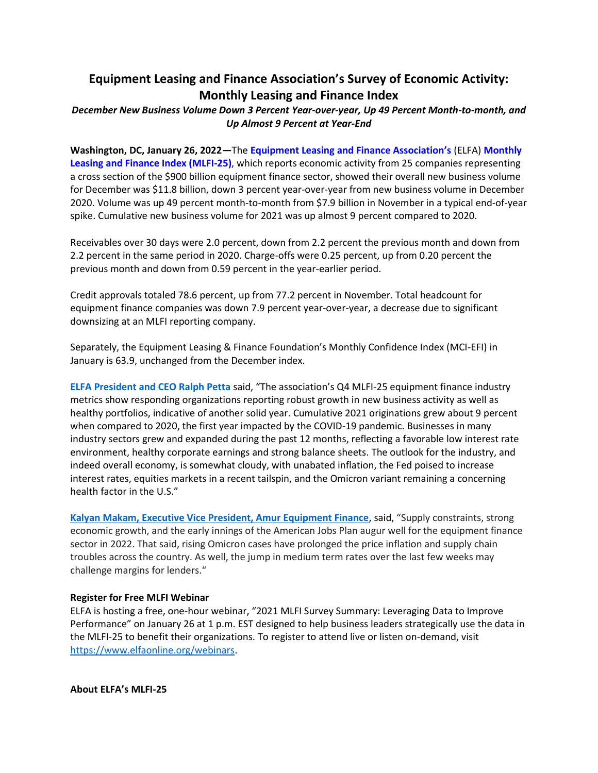# **Equipment Leasing and Finance Association's Survey of Economic Activity: Monthly Leasing and Finance Index**

## *December New Business Volume Down 3 Percent Year-over-year, Up 49 Percent Month-to-month, and Up Almost 9 Percent at Year-End*

**Washington, DC, January 26, 2022—**The **[Equipment Leasing and Finance Association's](http://www.elfaonline.org/)** (ELFA) **[Monthly](http://www.elfaonline.org/Data/MLFI/)  [Leasing and Finance Index \(MLFI-25\)](http://www.elfaonline.org/Data/MLFI/)**, which reports economic activity from 25 companies representing a cross section of the \$900 billion equipment finance sector, showed their overall new business volume for December was \$11.8 billion, down 3 percent year-over-year from new business volume in December 2020. Volume was up 49 percent month-to-month from \$7.9 billion in November in a typical end-of-year spike. Cumulative new business volume for 2021 was up almost 9 percent compared to 2020.

Receivables over 30 days were 2.0 percent, down from 2.2 percent the previous month and down from 2.2 percent in the same period in 2020. Charge-offs were 0.25 percent, up from 0.20 percent the previous month and down from 0.59 percent in the year-earlier period.

Credit approvals totaled 78.6 percent, up from 77.2 percent in November. Total headcount for equipment finance companies was down 7.9 percent year-over-year, a decrease due to significant downsizing at an MLFI reporting company.

Separately, the Equipment Leasing & Finance Foundation's Monthly Confidence Index (MCI-EFI) in January is 63.9, unchanged from the December index.

**[ELFA President and CEO Ralph Petta](http://www.elfaonline.org/about/staff-contact-info/view-executive-staff-bios)** said, "The association's Q4 MLFI-25 equipment finance industry metrics show responding organizations reporting robust growth in new business activity as well as healthy portfolios, indicative of another solid year. Cumulative 2021 originations grew about 9 percent when compared to 2020, the first year impacted by the COVID-19 pandemic. Businesses in many industry sectors grew and expanded during the past 12 months, reflecting a favorable low interest rate environment, healthy corporate earnings and strong balance sheets. The outlook for the industry, and indeed overall economy, is somewhat cloudy, with unabated inflation, the Fed poised to increase interest rates, equities markets in a recent tailspin, and the Omicron variant remaining a concerning health factor in the U.S."

**[Kalyan Makam, Executive Vice President, Amur Equipment Finance](https://www.goamur.com/)**, said, "Supply constraints, strong economic growth, and the early innings of the American Jobs Plan augur well for the equipment finance sector in 2022. That said, rising Omicron cases have prolonged the price inflation and supply chain troubles across the country. As well, the jump in medium term rates over the last few weeks may challenge margins for lenders."

#### **Register for Free MLFI Webinar**

ELFA is hosting a free, one-hour webinar, "2021 MLFI Survey Summary: Leveraging Data to Improve Performance" on January 26 at 1 p.m. EST designed to help business leaders strategically use the data in the MLFI-25 to benefit their organizations. To register to attend live or listen on-demand, visit [https://www.elfaonline.org/webinars.](https://www.elfaonline.org/webinars)

**About ELFA's MLFI-25**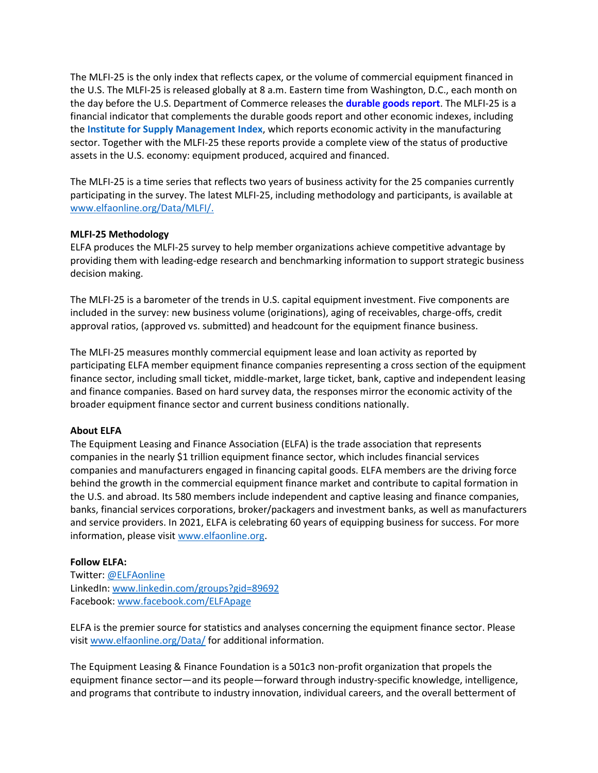The MLFI-25 is the only index that reflects capex, or the volume of commercial equipment financed in the U.S. The MLFI-25 is released globally at 8 a.m. Eastern time from Washington, D.C., each month on the day before the U.S. Department of Commerce releases the **[durable goods report](http://www.census.gov/indicator/www/m3/)**. The MLFI-25 is a financial indicator that complements the durable goods report and other economic indexes, including the **[Institute for Supply Management Index](https://www.ismworld.org/supply-management-news-and-reports/reports/ism-report-on-business/)**, which reports economic activity in the manufacturing sector. Together with the MLFI-25 these reports provide a complete view of the status of productive assets in the U.S. economy: equipment produced, acquired and financed.

The MLFI-25 is a time series that reflects two years of business activity for the 25 companies currently participating in the survey. The latest MLFI-25, including methodology and participants, is available at [www.elfaonline.org/Data/MLFI/.](http://www.elfaonline.org/Data/MLFI/)

## **MLFI-25 Methodology**

ELFA produces the MLFI-25 survey to help member organizations achieve competitive advantage by providing them with leading-edge research and benchmarking information to support strategic business decision making.

The MLFI-25 is a barometer of the trends in U.S. capital equipment investment. Five components are included in the survey: new business volume (originations), aging of receivables, charge-offs, credit approval ratios, (approved vs. submitted) and headcount for the equipment finance business.

The MLFI-25 measures monthly commercial equipment lease and loan activity as reported by participating ELFA member equipment finance companies representing a cross section of the equipment finance sector, including small ticket, middle-market, large ticket, bank, captive and independent leasing and finance companies. Based on hard survey data, the responses mirror the economic activity of the broader equipment finance sector and current business conditions nationally.

#### **About ELFA**

The Equipment Leasing and Finance Association (ELFA) is the trade association that represents companies in the nearly \$1 trillion equipment finance sector, which includes financial services companies and manufacturers engaged in financing capital goods. ELFA members are the driving force behind the growth in the commercial equipment finance market and contribute to capital formation in the U.S. and abroad. Its 580 members include independent and captive leasing and finance companies, banks, financial services corporations, broker/packagers and investment banks, as well as manufacturers and service providers. In 2021, ELFA is celebrating 60 years of equipping business for success. For more information, please visit [www.elfaonline.org.](http://www.elfaonline.org/)

## **Follow ELFA:**

Twitter: [@ELFAonline](https://twitter.com/ELFAOnline) LinkedIn: [www.linkedin.com/groups?gid=89692](http://www.linkedin.com/groups?gid=89692) Facebook: [www.facebook.com/ELFApage](http://www.facebook.com/ELFApage)

ELFA is the premier source for statistics and analyses concerning the equipment finance sector. Please visi[t www.elfaonline.org/Data/](http://www.elfaonline.org/Data/) for additional information.

The Equipment Leasing & Finance Foundation is a 501c3 non-profit organization that propels the equipment finance sector—and its people—forward through industry-specific knowledge, intelligence, and programs that contribute to industry innovation, individual careers, and the overall betterment of